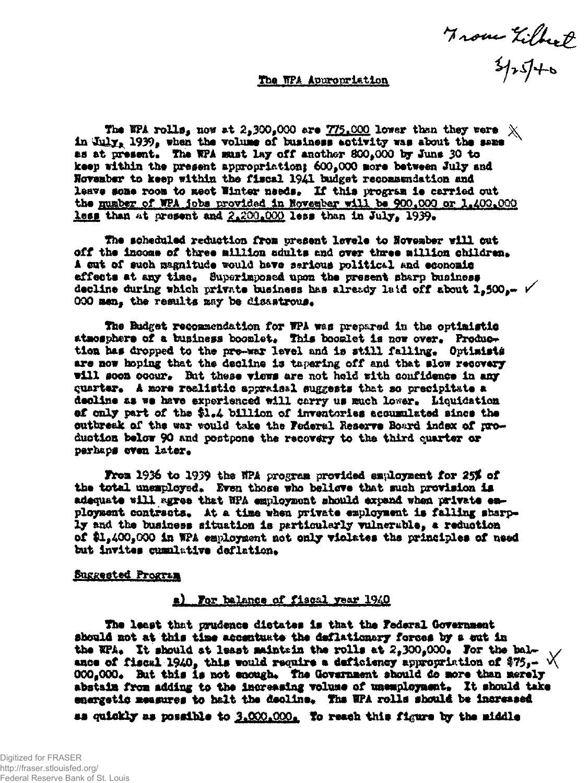From Zilbert

## The NPA Appropriation

The NPA rolls, now at 2,300,000 are 775,000 lower than they were  $\chi$ in July, 1939, when the volume of business activity was about the same as at present. The WPA must lay off another 800,000 by June 30 to keep within the present appropriation; 600,000 more between July and November to keep within the fiscal 1941 budget recommendation and leave some room to meet Winter needs. If this program is carried out the number of WPA jobs provided in November will be 900,000 or 1,400,000 less than at present and 2.200.000 less than in July, 1939.

The scheduled reduction from present levele to November will cut off the income of three million adults and over three million children. A cut of such magnitude would have serious political and economic effects at any time. Superimposed upon the present sharp business decline during which private business has already laid off about 1,500,- V 000 men, the results may be disastrous.

The Budget recommendation for WPA was prepared in the optimistic atmosphere of a business boomlet. This boomlet is now over. Production has dropped to the pre-war level and is still falling. Optimists are now hoping that the decline is tapering off and that slow recovery will soon occur. But these wiews are not held with confidence in any quarter. A more realistic appraisal suggests that so precipitate a decline as we have experienced will carry us much lower. Liquidation of only part of the \$1.4 billion of inventories accumulated since the outbreak of the war would take the Federal Reserve Board index of production below 90 and postpone the recovery to the third quarter or perhaps even later.

From 1936 to 1939 the NPA program provided employment for 25% of the total unemployed. Even those who believe that such provision is adequate will agree that NPA employment should expand when private enployment contracts. At a time when private employment is falling sharply and the business situation is particularly vulnerable, a reduction of \$1,400,000 in WPA employment not only violates the principles of need but invites quanlative deflation.

#### **Buggested Program**

## a) For balance of fiscal year 1940

The least that prudence distates is that the Federal Government should not at this time accentuate the deflationary forces by a sut in the WPA. It should at least maintein the rolls at  $2,300,000$ . For the balance of fiscal 1940, this would require a deficiency appropriation of \$75.-  $\sqrt{ }$ 000.000. But this is not enough. The Government should do more than merely abstain from adding to the increasing volume of unemployment. It should take energetic measures to halt the decline. The WPA rolls should be increased as quickly as possible to 3.000.000. To reach this figure by the middle

Digitized for FRASER http://fraser.stlouisfed.org/ Federal Reserve Bank of St. Louis